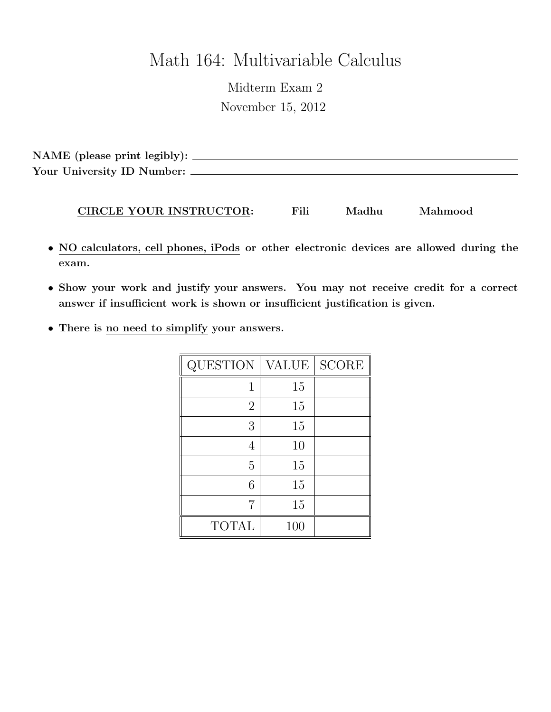# Math 164: Multivariable Calculus

Midterm Exam 2 November 15, 2012

NAME (please print legibly): Your University ID Number:

#### CIRCLE YOUR INSTRUCTOR: Fili Madhu Mahmood

- NO calculators, cell phones, iPods or other electronic devices are allowed during the exam.
- Show your work and justify your answers. You may not receive credit for a correct answer if insufficient work is shown or insufficient justification is given.
- There is no need to simplify your answers.

| QUESTION       | <b>VALUE</b> | <b>SCORE</b> |
|----------------|--------------|--------------|
| 1              | 15           |              |
| $\overline{2}$ | 15           |              |
| 3              | 15           |              |
| 4              | 10           |              |
| 5              | 15           |              |
| 6              | 15           |              |
| 7              | 15           |              |
| <b>TOTAL</b>   | 100          |              |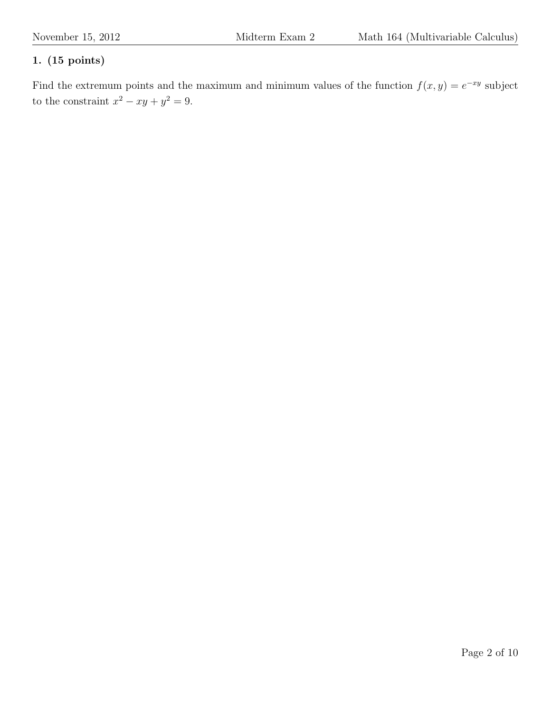Find the extremum points and the maximum and minimum values of the function  $f(x, y) = e^{-xy}$  subject to the constraint  $x^2 - xy + y^2 = 9$ .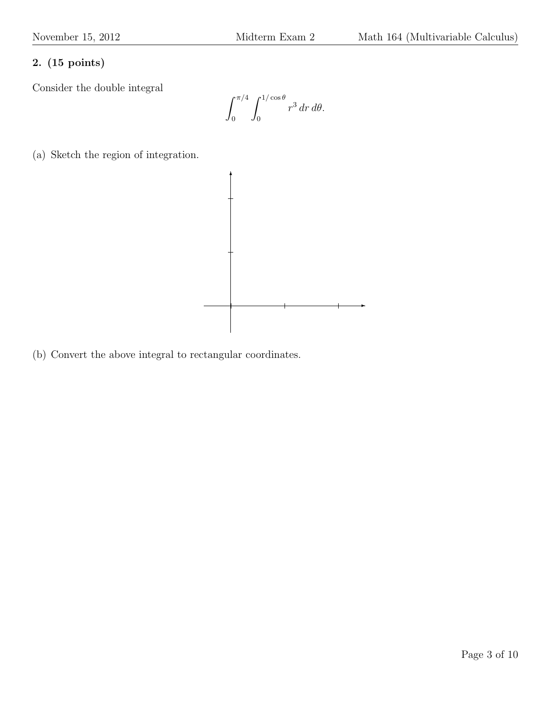Consider the double integral

 $\int_0^{\pi/4}$ 0  $\int_1^{1/\cos\theta}$ 0  $r^3 dr d\theta.$ 

(a) Sketch the region of integration.



(b) Convert the above integral to rectangular coordinates.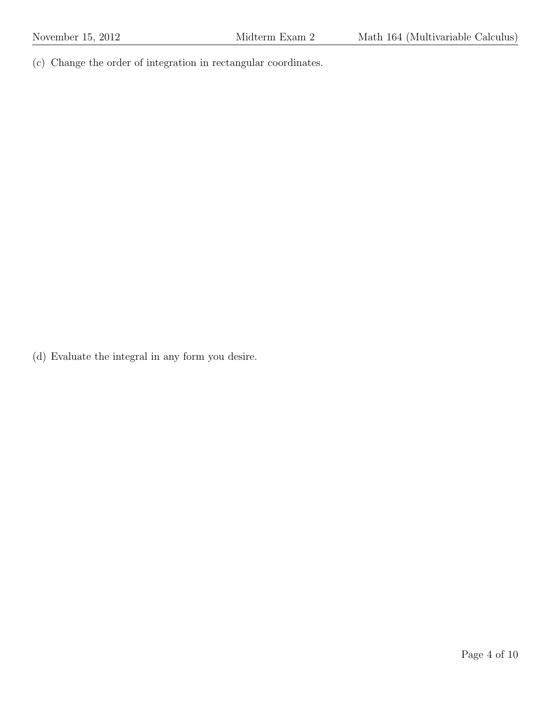(c) Change the order of integration in rectangular coordinates.

(d) Evaluate the integral in any form you desire.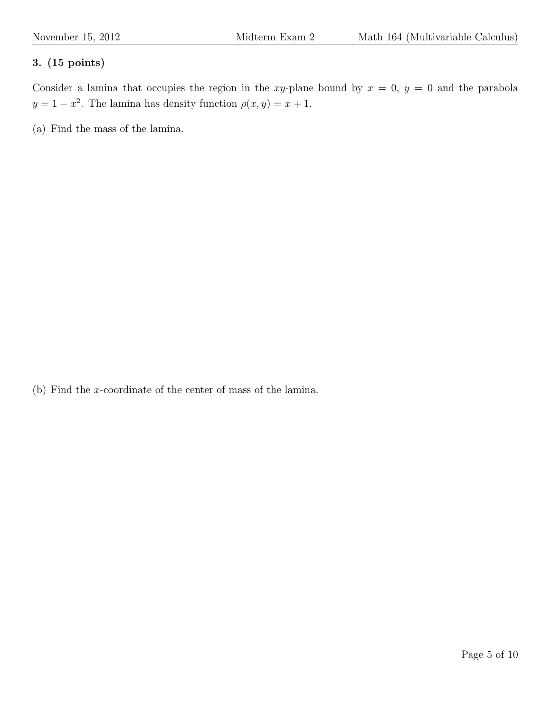Consider a lamina that occupies the region in the xy-plane bound by  $x = 0$ ,  $y = 0$  and the parabola  $y = 1 - x^2$ . The lamina has density function  $\rho(x, y) = x + 1$ .

(a) Find the mass of the lamina.

(b) Find the x-coordinate of the center of mass of the lamina.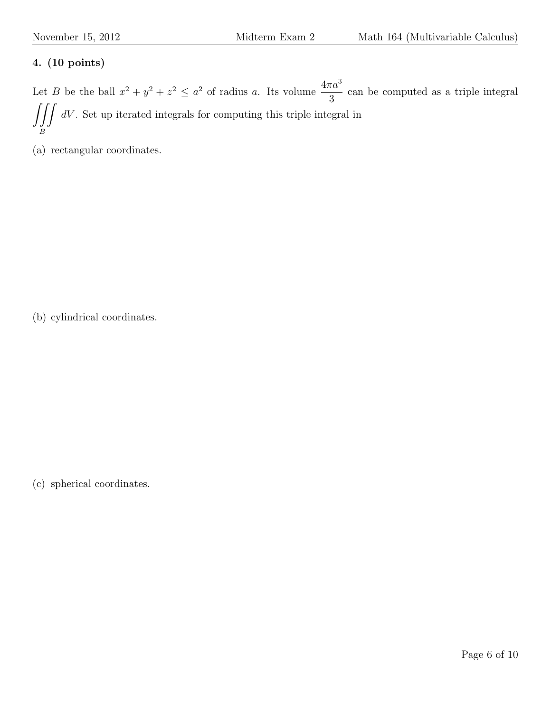Let B be the ball  $x^2 + y^2 + z^2 \leq a^2$  of radius a. Its volume  $\frac{4\pi a^3}{2}$ 3 can be computed as a triple integral  $\iiint dV$ . Set up iterated integrals for computing this triple integral in B

(a) rectangular coordinates.

(b) cylindrical coordinates.

(c) spherical coordinates.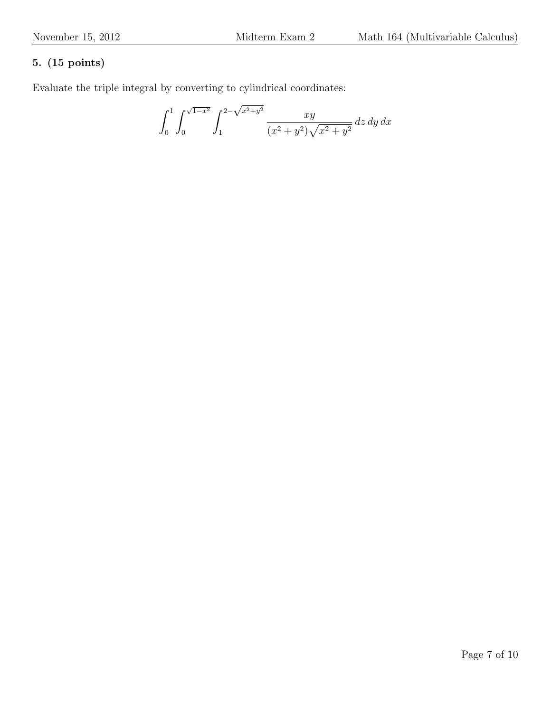Evaluate the triple integral by converting to cylindrical coordinates:

$$
\int_0^1 \int_0^{\sqrt{1-x^2}} \int_1^{2-\sqrt{x^2+y^2}} \frac{xy}{(x^2+y^2)\sqrt{x^2+y^2}} \, dz \, dy \, dx
$$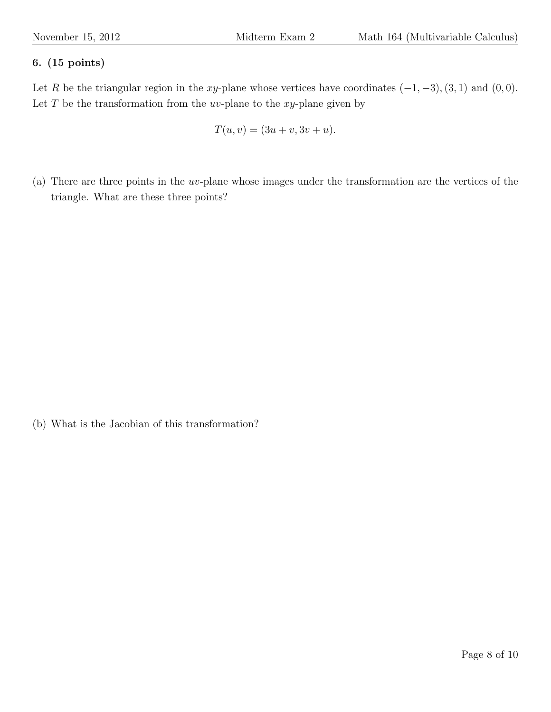Let R be the triangular region in the xy-plane whose vertices have coordinates  $(-1, -3)$ ,  $(3, 1)$  and  $(0, 0)$ . Let  $T$  be the transformation from the  $uv$ -plane to the  $xy$ -plane given by

$$
T(u, v) = (3u + v, 3v + u).
$$

(a) There are three points in the uv-plane whose images under the transformation are the vertices of the triangle. What are these three points?

(b) What is the Jacobian of this transformation?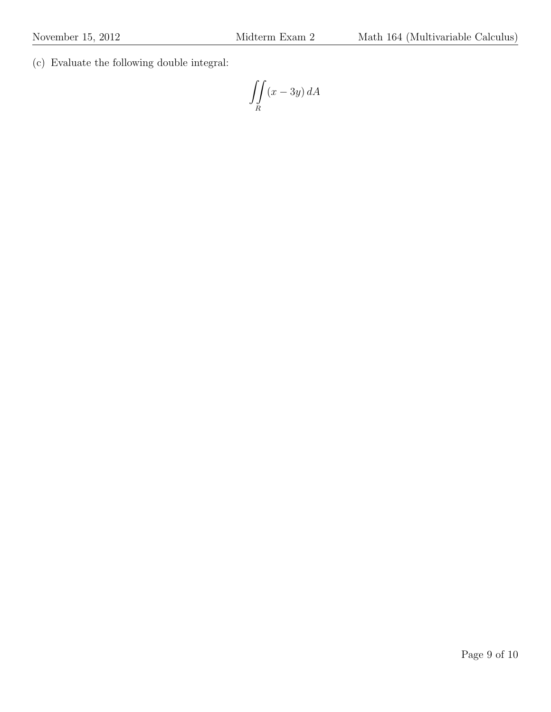(c) Evaluate the following double integral:

$$
\iint\limits_R (x - 3y) \, dA
$$